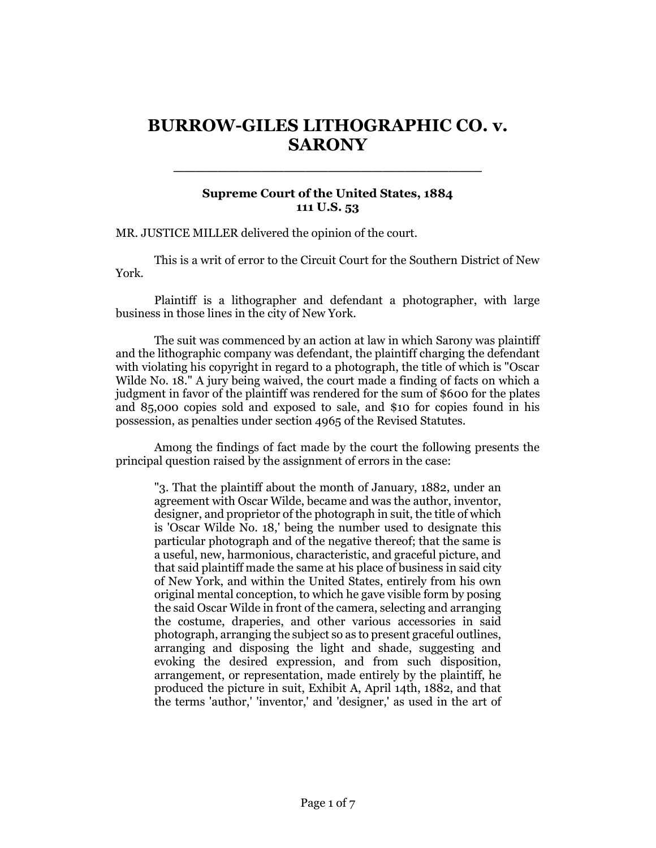## **BURROW-GILES LITHOGRAPHIC CO. v. SARONY**

\_\_\_\_\_\_\_\_\_\_\_\_\_\_\_\_\_\_\_\_\_\_\_\_\_\_\_\_

## **Supreme Court of the United States, 1884 111 U.S. 53**

MR. JUSTICE MILLER delivered the opinion of the court.

This is a writ of error to the Circuit Court for the Southern District of New York.

Plaintiff is a lithographer and defendant a photographer, with large business in those lines in the city of New York.

The suit was commenced by an action at law in which Sarony was plaintiff and the lithographic company was defendant, the plaintiff charging the defendant with violating his copyright in regard to a photograph, the title of which is "Oscar Wilde No. 18." A jury being waived, the court made a finding of facts on which a judgment in favor of the plaintiff was rendered for the sum of \$600 for the plates and 85,000 copies sold and exposed to sale, and \$10 for copies found in his possession, as penalties under section 4965 of the Revised Statutes.

Among the findings of fact made by the court the following presents the principal question raised by the assignment of errors in the case:

"3. That the plaintiff about the month of January, 1882, under an agreement with Oscar Wilde, became and was the author, inventor, designer, and proprietor of the photograph in suit, the title of which is 'Oscar Wilde No. 18,' being the number used to designate this particular photograph and of the negative thereof; that the same is a useful, new, harmonious, characteristic, and graceful picture, and that said plaintiff made the same at his place of business in said city of New York, and within the United States, entirely from his own original mental conception, to which he gave visible form by posing the said Oscar Wilde in front of the camera, selecting and arranging the costume, draperies, and other various accessories in said photograph, arranging the subject so as to present graceful outlines, arranging and disposing the light and shade, suggesting and evoking the desired expression, and from such disposition, arrangement, or representation, made entirely by the plaintiff, he produced the picture in suit, Exhibit A, April 14th, 1882, and that the terms 'author,' 'inventor,' and 'designer,' as used in the art of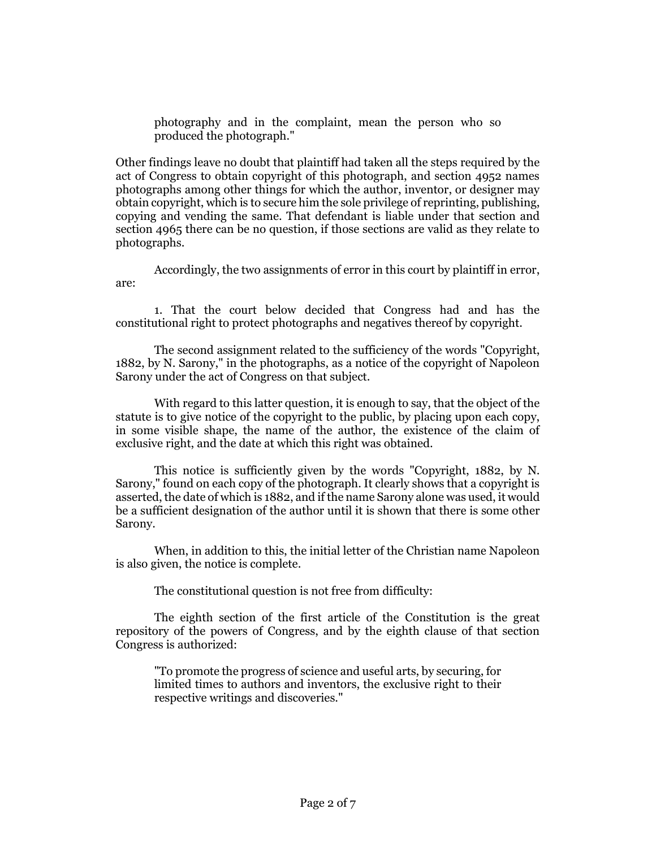photography and in the complaint, mean the person who so produced the photograph."

Other findings leave no doubt that plaintiff had taken all the steps required by the act of Congress to obtain copyright of this photograph, and section 4952 names photographs among other things for which the author, inventor, or designer may obtain copyright, which is to secure him the sole privilege of reprinting, publishing, copying and vending the same. That defendant is liable under that section and section 4965 there can be no question, if those sections are valid as they relate to photographs.

Accordingly, the two assignments of error in this court by plaintiff in error, are:

1. That the court below decided that Congress had and has the constitutional right to protect photographs and negatives thereof by copyright.

The second assignment related to the sufficiency of the words "Copyright, 1882, by N. Sarony," in the photographs, as a notice of the copyright of Napoleon Sarony under the act of Congress on that subject.

With regard to this latter question, it is enough to say, that the object of the statute is to give notice of the copyright to the public, by placing upon each copy, in some visible shape, the name of the author, the existence of the claim of exclusive right, and the date at which this right was obtained.

This notice is sufficiently given by the words "Copyright, 1882, by N. Sarony," found on each copy of the photograph. It clearly shows that a copyright is asserted, the date of which is 1882, and if the name Sarony alone was used, it would be a sufficient designation of the author until it is shown that there is some other Sarony.

When, in addition to this, the initial letter of the Christian name Napoleon is also given, the notice is complete.

The constitutional question is not free from difficulty:

The eighth section of the first article of the Constitution is the great repository of the powers of Congress, and by the eighth clause of that section Congress is authorized:

"To promote the progress of science and useful arts, by securing, for limited times to authors and inventors, the exclusive right to their respective writings and discoveries."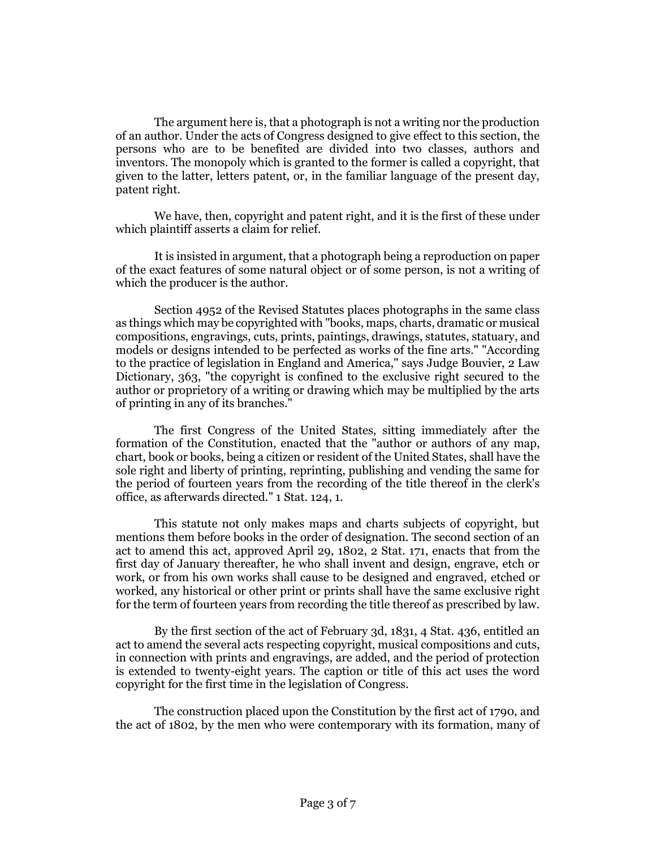The argument here is, that a photograph is not a writing nor the production of an author. Under the acts of Congress designed to give effect to this section, the persons who are to be benefited are divided into two classes, authors and inventors. The monopoly which is granted to the former is called a copyright, that given to the latter, letters patent, or, in the familiar language of the present day, patent right.

We have, then, copyright and patent right, and it is the first of these under which plaintiff asserts a claim for relief.

It is insisted in argument, that a photograph being a reproduction on paper of the exact features of some natural object or of some person, is not a writing of which the producer is the author.

Section 4952 of the Revised Statutes places photographs in the same class as things which may be copyrighted with "books, maps, charts, dramatic or musical compositions, engravings, cuts, prints, paintings, drawings, statutes, statuary, and models or designs intended to be perfected as works of the fine arts." "According to the practice of legislation in England and America," says Judge Bouvier, 2 Law Dictionary, 363, "the copyright is confined to the exclusive right secured to the author or proprietory of a writing or drawing which may be multiplied by the arts of printing in any of its branches."

The first Congress of the United States, sitting immediately after the formation of the Constitution, enacted that the "author or authors of any map, chart, book or books, being a citizen or resident of the United States, shall have the sole right and liberty of printing, reprinting, publishing and vending the same for the period of fourteen years from the recording of the title thereof in the clerk's office, as afterwards directed." 1 Stat. 124, 1.

This statute not only makes maps and charts subjects of copyright, but mentions them before books in the order of designation. The second section of an act to amend this act, approved April 29, 1802, 2 Stat. 171, enacts that from the first day of January thereafter, he who shall invent and design, engrave, etch or work, or from his own works shall cause to be designed and engraved, etched or worked, any historical or other print or prints shall have the same exclusive right for the term of fourteen years from recording the title thereof as prescribed by law.

By the first section of the act of February 3d, 1831, 4 Stat. 436, entitled an act to amend the several acts respecting copyright, musical compositions and cuts, in connection with prints and engravings, are added, and the period of protection is extended to twenty-eight years. The caption or title of this act uses the word copyright for the first time in the legislation of Congress.

The construction placed upon the Constitution by the first act of 1790, and the act of 1802, by the men who were contemporary with its formation, many of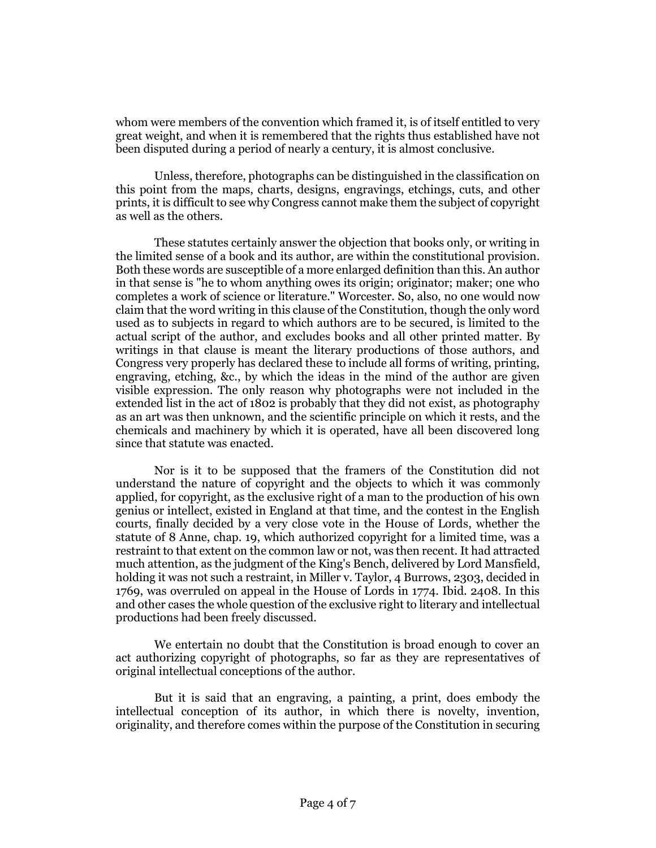whom were members of the convention which framed it, is of itself entitled to very great weight, and when it is remembered that the rights thus established have not been disputed during a period of nearly a century, it is almost conclusive.

Unless, therefore, photographs can be distinguished in the classification on this point from the maps, charts, designs, engravings, etchings, cuts, and other prints, it is difficult to see why Congress cannot make them the subject of copyright as well as the others.

These statutes certainly answer the objection that books only, or writing in the limited sense of a book and its author, are within the constitutional provision. Both these words are susceptible of a more enlarged definition than this. An author in that sense is "he to whom anything owes its origin; originator; maker; one who completes a work of science or literature." Worcester. So, also, no one would now claim that the word writing in this clause of the Constitution, though the only word used as to subjects in regard to which authors are to be secured, is limited to the actual script of the author, and excludes books and all other printed matter. By writings in that clause is meant the literary productions of those authors, and Congress very properly has declared these to include all forms of writing, printing, engraving, etching, &c., by which the ideas in the mind of the author are given visible expression. The only reason why photographs were not included in the extended list in the act of 1802 is probably that they did not exist, as photography as an art was then unknown, and the scientific principle on which it rests, and the chemicals and machinery by which it is operated, have all been discovered long since that statute was enacted.

Nor is it to be supposed that the framers of the Constitution did not understand the nature of copyright and the objects to which it was commonly applied, for copyright, as the exclusive right of a man to the production of his own genius or intellect, existed in England at that time, and the contest in the English courts, finally decided by a very close vote in the House of Lords, whether the statute of 8 Anne, chap. 19, which authorized copyright for a limited time, was a restraint to that extent on the common law or not, was then recent. It had attracted much attention, as the judgment of the King's Bench, delivered by Lord Mansfield, holding it was not such a restraint, in Miller v. Taylor, 4 Burrows, 2303, decided in 1769, was overruled on appeal in the House of Lords in 1774. Ibid. 2408. In this and other cases the whole question of the exclusive right to literary and intellectual productions had been freely discussed.

We entertain no doubt that the Constitution is broad enough to cover an act authorizing copyright of photographs, so far as they are representatives of original intellectual conceptions of the author.

But it is said that an engraving, a painting, a print, does embody the intellectual conception of its author, in which there is novelty, invention, originality, and therefore comes within the purpose of the Constitution in securing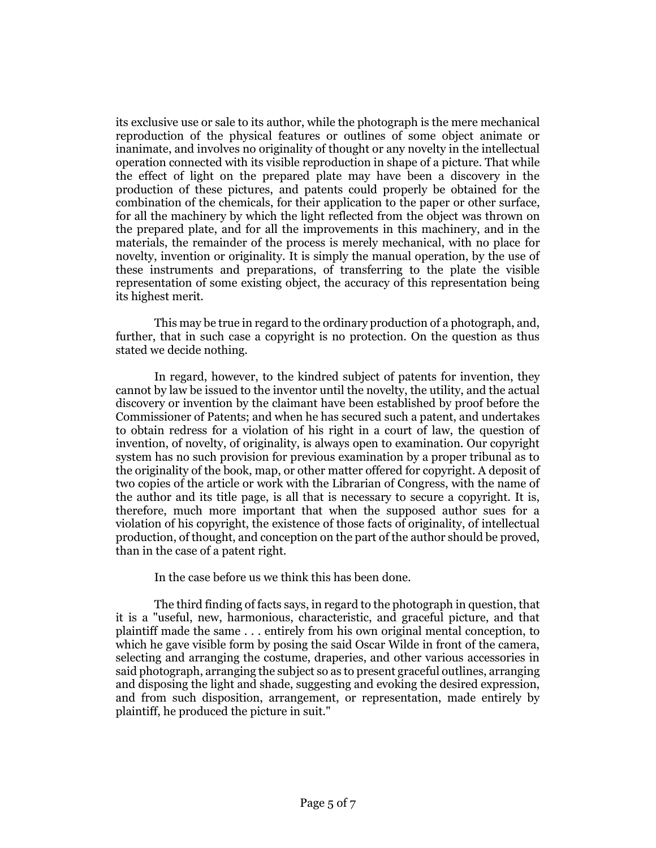its exclusive use or sale to its author, while the photograph is the mere mechanical reproduction of the physical features or outlines of some object animate or inanimate, and involves no originality of thought or any novelty in the intellectual operation connected with its visible reproduction in shape of a picture. That while the effect of light on the prepared plate may have been a discovery in the production of these pictures, and patents could properly be obtained for the combination of the chemicals, for their application to the paper or other surface, for all the machinery by which the light reflected from the object was thrown on the prepared plate, and for all the improvements in this machinery, and in the materials, the remainder of the process is merely mechanical, with no place for novelty, invention or originality. It is simply the manual operation, by the use of these instruments and preparations, of transferring to the plate the visible representation of some existing object, the accuracy of this representation being its highest merit.

This may be true in regard to the ordinary production of a photograph, and, further, that in such case a copyright is no protection. On the question as thus stated we decide nothing.

In regard, however, to the kindred subject of patents for invention, they cannot by law be issued to the inventor until the novelty, the utility, and the actual discovery or invention by the claimant have been established by proof before the Commissioner of Patents; and when he has secured such a patent, and undertakes to obtain redress for a violation of his right in a court of law, the question of invention, of novelty, of originality, is always open to examination. Our copyright system has no such provision for previous examination by a proper tribunal as to the originality of the book, map, or other matter offered for copyright. A deposit of two copies of the article or work with the Librarian of Congress, with the name of the author and its title page, is all that is necessary to secure a copyright. It is, therefore, much more important that when the supposed author sues for a violation of his copyright, the existence of those facts of originality, of intellectual production, of thought, and conception on the part of the author should be proved, than in the case of a patent right.

In the case before us we think this has been done.

The third finding of facts says, in regard to the photograph in question, that it is a "useful, new, harmonious, characteristic, and graceful picture, and that plaintiff made the same . . . entirely from his own original mental conception, to which he gave visible form by posing the said Oscar Wilde in front of the camera, selecting and arranging the costume, draperies, and other various accessories in said photograph, arranging the subject so as to present graceful outlines, arranging and disposing the light and shade, suggesting and evoking the desired expression, and from such disposition, arrangement, or representation, made entirely by plaintiff, he produced the picture in suit."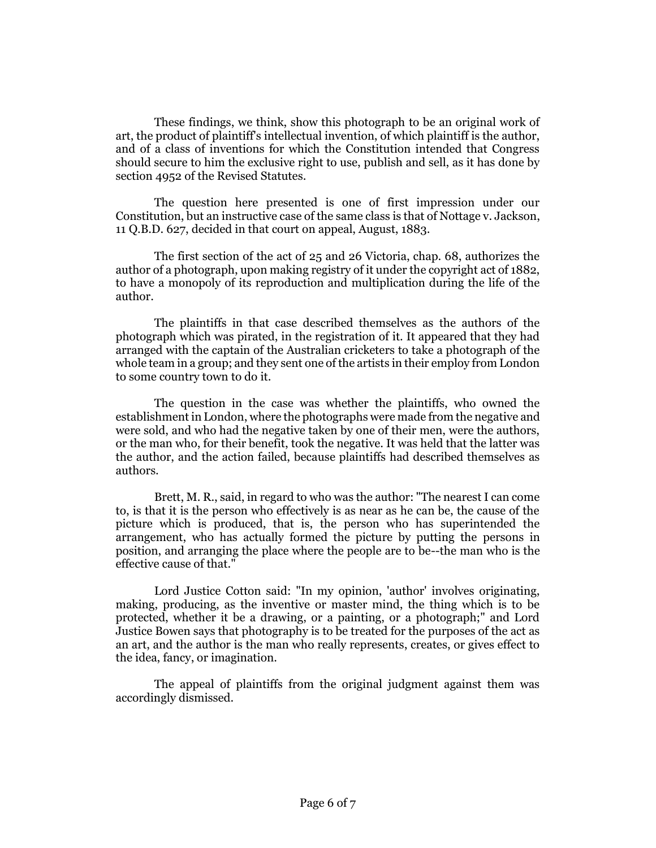These findings, we think, show this photograph to be an original work of art, the product of plaintiff's intellectual invention, of which plaintiff is the author, and of a class of inventions for which the Constitution intended that Congress should secure to him the exclusive right to use, publish and sell, as it has done by section 4952 of the Revised Statutes.

The question here presented is one of first impression under our Constitution, but an instructive case of the same class is that of Nottage v. Jackson, 11 Q.B.D. 627, decided in that court on appeal, August, 1883.

The first section of the act of 25 and 26 Victoria, chap. 68, authorizes the author of a photograph, upon making registry of it under the copyright act of 1882, to have a monopoly of its reproduction and multiplication during the life of the author.

The plaintiffs in that case described themselves as the authors of the photograph which was pirated, in the registration of it. It appeared that they had arranged with the captain of the Australian cricketers to take a photograph of the whole team in a group; and they sent one of the artists in their employ from London to some country town to do it.

The question in the case was whether the plaintiffs, who owned the establishment in London, where the photographs were made from the negative and were sold, and who had the negative taken by one of their men, were the authors, or the man who, for their benefit, took the negative. It was held that the latter was the author, and the action failed, because plaintiffs had described themselves as authors.

Brett, M. R., said, in regard to who was the author: "The nearest I can come to, is that it is the person who effectively is as near as he can be, the cause of the picture which is produced, that is, the person who has superintended the arrangement, who has actually formed the picture by putting the persons in position, and arranging the place where the people are to be--the man who is the effective cause of that."

Lord Justice Cotton said: "In my opinion, 'author' involves originating, making, producing, as the inventive or master mind, the thing which is to be protected, whether it be a drawing, or a painting, or a photograph;" and Lord Justice Bowen says that photography is to be treated for the purposes of the act as an art, and the author is the man who really represents, creates, or gives effect to the idea, fancy, or imagination.

The appeal of plaintiffs from the original judgment against them was accordingly dismissed.